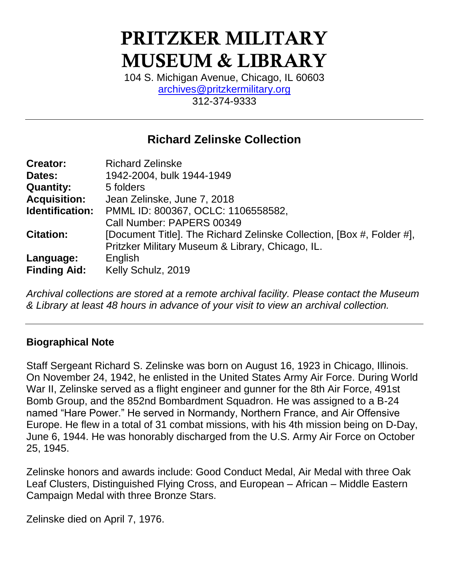# PRITZKER MILITARY MUSEUM & LIBRARY

104 S. Michigan Avenue, Chicago, IL 60603 [archives@pritzkermilitary.org](mailto:archives@pritzkermilitary.org) 312-374-9333

## **Richard Zelinske Collection**

| <b>Creator:</b>     | <b>Richard Zelinske</b>                                               |
|---------------------|-----------------------------------------------------------------------|
| Dates:              | 1942-2004, bulk 1944-1949                                             |
| <b>Quantity:</b>    | 5 folders                                                             |
| <b>Acquisition:</b> | Jean Zelinske, June 7, 2018                                           |
| Identification:     | PMML ID: 800367, OCLC: 1106558582,                                    |
|                     | Call Number: PAPERS 00349                                             |
| <b>Citation:</b>    | [Document Title]. The Richard Zelinske Collection, [Box #, Folder #], |
|                     | Pritzker Military Museum & Library, Chicago, IL.                      |
| Language:           | English                                                               |
| <b>Finding Aid:</b> | Kelly Schulz, 2019                                                    |

*Archival collections are stored at a remote archival facility. Please contact the Museum & Library at least 48 hours in advance of your visit to view an archival collection.*

#### **Biographical Note**

Staff Sergeant Richard S. Zelinske was born on August 16, 1923 in Chicago, Illinois. On November 24, 1942, he enlisted in the United States Army Air Force. During World War II, Zelinske served as a flight engineer and gunner for the 8th Air Force, 491st Bomb Group, and the 852nd Bombardment Squadron. He was assigned to a B-24 named "Hare Power." He served in Normandy, Northern France, and Air Offensive Europe. He flew in a total of 31 combat missions, with his 4th mission being on D-Day, June 6, 1944. He was honorably discharged from the U.S. Army Air Force on October 25, 1945.

Zelinske honors and awards include: Good Conduct Medal, Air Medal with three Oak Leaf Clusters, Distinguished Flying Cross, and European – African – Middle Eastern Campaign Medal with three Bronze Stars.

Zelinske died on April 7, 1976.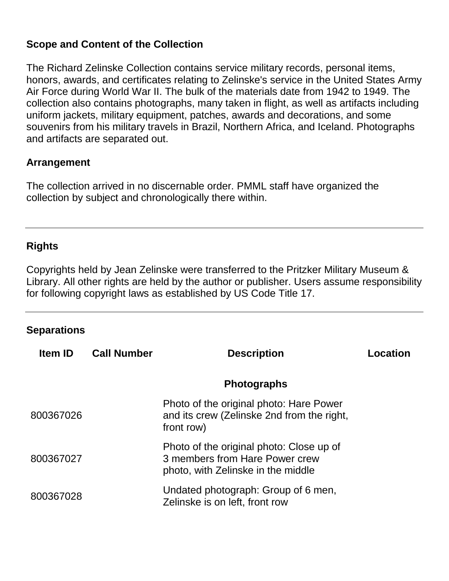#### **Scope and Content of the Collection**

The Richard Zelinske Collection contains service military records, personal items, honors, awards, and certificates relating to Zelinske's service in the United States Army Air Force during World War II. The bulk of the materials date from 1942 to 1949. The collection also contains photographs, many taken in flight, as well as artifacts including uniform jackets, military equipment, patches, awards and decorations, and some souvenirs from his military travels in Brazil, Northern Africa, and Iceland. Photographs and artifacts are separated out.

#### **Arrangement**

The collection arrived in no discernable order. PMML staff have organized the collection by subject and chronologically there within.

#### **Rights**

Copyrights held by Jean Zelinske were transferred to the Pritzker Military Museum & Library. All other rights are held by the author or publisher. Users assume responsibility for following copyright laws as established by US Code Title 17.

#### **Separations**

| <b>Item ID</b> | <b>Call Number</b> | <b>Description</b>                                                                                               | <b>Location</b> |
|----------------|--------------------|------------------------------------------------------------------------------------------------------------------|-----------------|
|                |                    | <b>Photographs</b>                                                                                               |                 |
| 800367026      |                    | Photo of the original photo: Hare Power<br>and its crew (Zelinske 2nd from the right,<br>front row)              |                 |
| 800367027      |                    | Photo of the original photo: Close up of<br>3 members from Hare Power crew<br>photo, with Zelinske in the middle |                 |
| 800367028      |                    | Undated photograph: Group of 6 men,<br>Zelinske is on left, front row                                            |                 |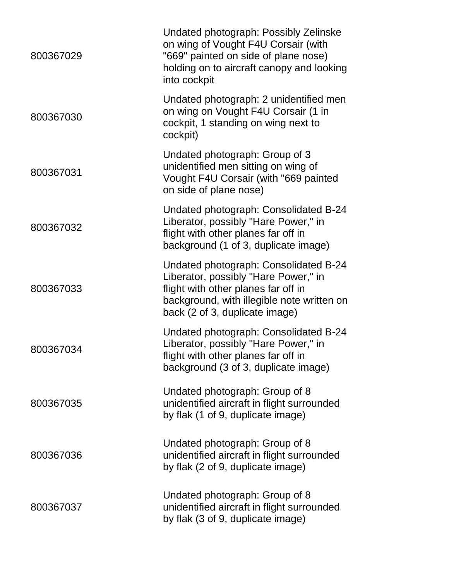| 800367029 | Undated photograph: Possibly Zelinske<br>on wing of Vought F4U Corsair (with<br>"669" painted on side of plane nose)<br>holding on to aircraft canopy and looking<br>into cockpit                    |
|-----------|------------------------------------------------------------------------------------------------------------------------------------------------------------------------------------------------------|
| 800367030 | Undated photograph: 2 unidentified men<br>on wing on Vought F4U Corsair (1 in<br>cockpit, 1 standing on wing next to<br>cockpit)                                                                     |
| 800367031 | Undated photograph: Group of 3<br>unidentified men sitting on wing of<br>Vought F4U Corsair (with "669 painted<br>on side of plane nose)                                                             |
| 800367032 | Undated photograph: Consolidated B-24<br>Liberator, possibly "Hare Power," in<br>flight with other planes far off in<br>background (1 of 3, duplicate image)                                         |
| 800367033 | Undated photograph: Consolidated B-24<br>Liberator, possibly "Hare Power," in<br>flight with other planes far off in<br>background, with illegible note written on<br>back (2 of 3, duplicate image) |
| 800367034 | Undated photograph: Consolidated B-24<br>Liberator, possibly "Hare Power," in<br>flight with other planes far off in<br>background (3 of 3, duplicate image)                                         |
| 800367035 | Undated photograph: Group of 8<br>unidentified aircraft in flight surrounded<br>by flak (1 of 9, duplicate image)                                                                                    |
| 800367036 | Undated photograph: Group of 8<br>unidentified aircraft in flight surrounded<br>by flak (2 of 9, duplicate image)                                                                                    |
| 800367037 | Undated photograph: Group of 8<br>unidentified aircraft in flight surrounded<br>by flak (3 of 9, duplicate image)                                                                                    |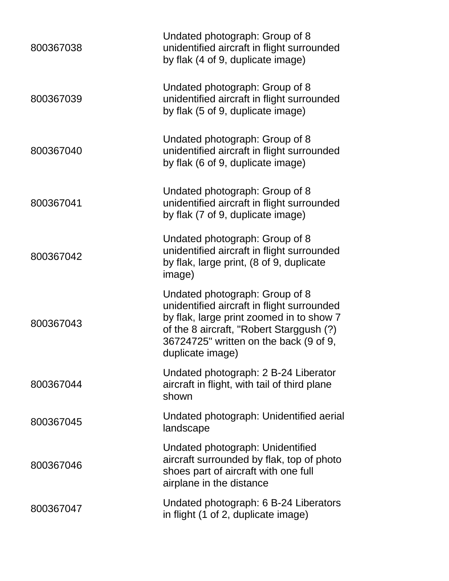| 800367038 | Undated photograph: Group of 8<br>unidentified aircraft in flight surrounded<br>by flak (4 of 9, duplicate image)                                                                                                                  |
|-----------|------------------------------------------------------------------------------------------------------------------------------------------------------------------------------------------------------------------------------------|
| 800367039 | Undated photograph: Group of 8<br>unidentified aircraft in flight surrounded<br>by flak (5 of 9, duplicate image)                                                                                                                  |
| 800367040 | Undated photograph: Group of 8<br>unidentified aircraft in flight surrounded<br>by flak (6 of 9, duplicate image)                                                                                                                  |
| 800367041 | Undated photograph: Group of 8<br>unidentified aircraft in flight surrounded<br>by flak (7 of 9, duplicate image)                                                                                                                  |
| 800367042 | Undated photograph: Group of 8<br>unidentified aircraft in flight surrounded<br>by flak, large print, (8 of 9, duplicate<br>image)                                                                                                 |
| 800367043 | Undated photograph: Group of 8<br>unidentified aircraft in flight surrounded<br>by flak, large print zoomed in to show 7<br>of the 8 aircraft, "Robert Starggush (?)<br>36724725" written on the back (9 of 9,<br>duplicate image) |
| 800367044 | Undated photograph: 2 B-24 Liberator<br>aircraft in flight, with tail of third plane<br>shown                                                                                                                                      |
| 800367045 | Undated photograph: Unidentified aerial<br>landscape                                                                                                                                                                               |
| 800367046 | Undated photograph: Unidentified<br>aircraft surrounded by flak, top of photo<br>shoes part of aircraft with one full<br>airplane in the distance                                                                                  |
| 800367047 | Undated photograph: 6 B-24 Liberators<br>in flight (1 of 2, duplicate image)                                                                                                                                                       |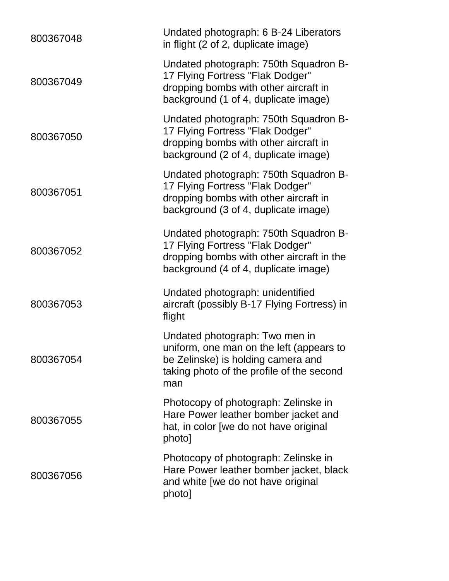| 800367048 | Undated photograph: 6 B-24 Liberators<br>in flight (2 of 2, duplicate image)                                                                                         |
|-----------|----------------------------------------------------------------------------------------------------------------------------------------------------------------------|
| 800367049 | Undated photograph: 750th Squadron B-<br>17 Flying Fortress "Flak Dodger"<br>dropping bombs with other aircraft in<br>background (1 of 4, duplicate image)           |
| 800367050 | Undated photograph: 750th Squadron B-<br>17 Flying Fortress "Flak Dodger"<br>dropping bombs with other aircraft in<br>background (2 of 4, duplicate image)           |
| 800367051 | Undated photograph: 750th Squadron B-<br>17 Flying Fortress "Flak Dodger"<br>dropping bombs with other aircraft in<br>background (3 of 4, duplicate image)           |
| 800367052 | Undated photograph: 750th Squadron B-<br>17 Flying Fortress "Flak Dodger"<br>dropping bombs with other aircraft in the<br>background (4 of 4, duplicate image)       |
| 800367053 | Undated photograph: unidentified<br>aircraft (possibly B-17 Flying Fortress) in<br>flight                                                                            |
| 800367054 | Undated photograph: Two men in<br>uniform, one man on the left (appears to<br>be Zelinske) is holding camera and<br>taking photo of the profile of the second<br>man |
| 800367055 | Photocopy of photograph: Zelinske in<br>Hare Power leather bomber jacket and<br>hat, in color [we do not have original<br>photo]                                     |
| 800367056 | Photocopy of photograph: Zelinske in<br>Hare Power leather bomber jacket, black<br>and white [we do not have original<br>photo]                                      |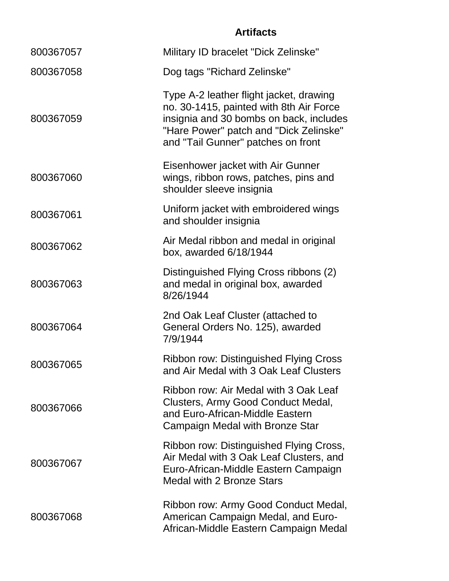### **Artifacts**

| 800367057 | Military ID bracelet "Dick Zelinske"                                                                                                                                                                          |
|-----------|---------------------------------------------------------------------------------------------------------------------------------------------------------------------------------------------------------------|
| 800367058 | Dog tags "Richard Zelinske"                                                                                                                                                                                   |
| 800367059 | Type A-2 leather flight jacket, drawing<br>no. 30-1415, painted with 8th Air Force<br>insignia and 30 bombs on back, includes<br>"Hare Power" patch and "Dick Zelinske"<br>and "Tail Gunner" patches on front |
| 800367060 | Eisenhower jacket with Air Gunner<br>wings, ribbon rows, patches, pins and<br>shoulder sleeve insignia                                                                                                        |
| 800367061 | Uniform jacket with embroidered wings<br>and shoulder insignia                                                                                                                                                |
| 800367062 | Air Medal ribbon and medal in original<br>box, awarded 6/18/1944                                                                                                                                              |
| 800367063 | Distinguished Flying Cross ribbons (2)<br>and medal in original box, awarded<br>8/26/1944                                                                                                                     |
| 800367064 | 2nd Oak Leaf Cluster (attached to<br>General Orders No. 125), awarded<br>7/9/1944                                                                                                                             |
| 800367065 | <b>Ribbon row: Distinguished Flying Cross</b><br>and Air Medal with 3 Oak Leaf Clusters                                                                                                                       |
| 800367066 | Ribbon row: Air Medal with 3 Oak Leaf<br>Clusters, Army Good Conduct Medal,<br>and Euro-African-Middle Eastern<br>Campaign Medal with Bronze Star                                                             |
| 800367067 | Ribbon row: Distinguished Flying Cross,<br>Air Medal with 3 Oak Leaf Clusters, and<br>Euro-African-Middle Eastern Campaign<br><b>Medal with 2 Bronze Stars</b>                                                |
| 800367068 | Ribbon row: Army Good Conduct Medal,<br>American Campaign Medal, and Euro-<br>African-Middle Eastern Campaign Medal                                                                                           |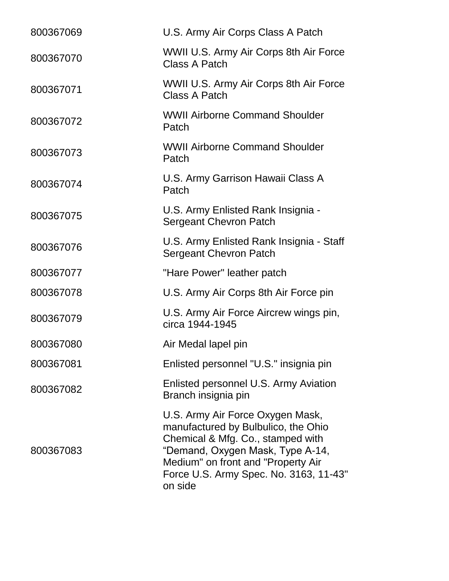| 800367069 | U.S. Army Air Corps Class A Patch                                                                                                                                                                                                           |
|-----------|---------------------------------------------------------------------------------------------------------------------------------------------------------------------------------------------------------------------------------------------|
| 800367070 | WWII U.S. Army Air Corps 8th Air Force<br>Class A Patch                                                                                                                                                                                     |
| 800367071 | WWII U.S. Army Air Corps 8th Air Force<br>Class A Patch                                                                                                                                                                                     |
| 800367072 | <b>WWII Airborne Command Shoulder</b><br>Patch                                                                                                                                                                                              |
| 800367073 | <b>WWII Airborne Command Shoulder</b><br>Patch                                                                                                                                                                                              |
| 800367074 | U.S. Army Garrison Hawaii Class A<br>Patch                                                                                                                                                                                                  |
| 800367075 | U.S. Army Enlisted Rank Insignia -<br><b>Sergeant Chevron Patch</b>                                                                                                                                                                         |
| 800367076 | U.S. Army Enlisted Rank Insignia - Staff<br><b>Sergeant Chevron Patch</b>                                                                                                                                                                   |
| 800367077 | "Hare Power" leather patch                                                                                                                                                                                                                  |
| 800367078 | U.S. Army Air Corps 8th Air Force pin                                                                                                                                                                                                       |
| 800367079 | U.S. Army Air Force Aircrew wings pin,<br>circa 1944-1945                                                                                                                                                                                   |
| 800367080 | Air Medal lapel pin                                                                                                                                                                                                                         |
| 800367081 | Enlisted personnel "U.S." insignia pin                                                                                                                                                                                                      |
| 800367082 | Enlisted personnel U.S. Army Aviation<br>Branch insignia pin                                                                                                                                                                                |
| 800367083 | U.S. Army Air Force Oxygen Mask,<br>manufactured by Bulbulico, the Ohio<br>Chemical & Mfg. Co., stamped with<br>"Demand, Oxygen Mask, Type A-14,<br>Medium" on front and "Property Air<br>Force U.S. Army Spec. No. 3163, 11-43"<br>on side |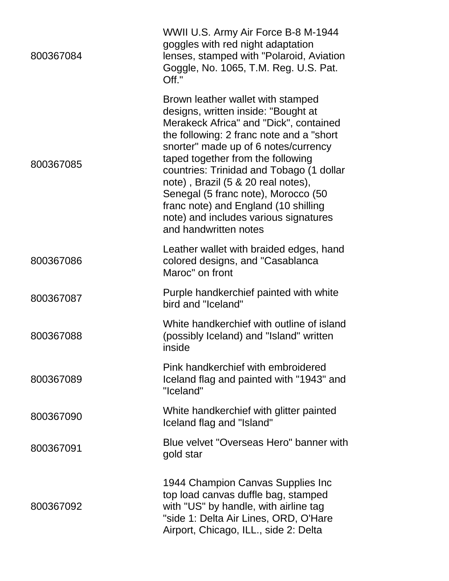| 800367084 | WWII U.S. Army Air Force B-8 M-1944<br>goggles with red night adaptation<br>lenses, stamped with "Polaroid, Aviation<br>Goggle, No. 1065, T.M. Reg. U.S. Pat.<br>Off."                                                                                                                                                                                                                                                                                                          |
|-----------|---------------------------------------------------------------------------------------------------------------------------------------------------------------------------------------------------------------------------------------------------------------------------------------------------------------------------------------------------------------------------------------------------------------------------------------------------------------------------------|
| 800367085 | Brown leather wallet with stamped<br>designs, written inside: "Bought at<br>Merakeck Africa" and "Dick", contained<br>the following: 2 franc note and a "short"<br>snorter" made up of 6 notes/currency<br>taped together from the following<br>countries: Trinidad and Tobago (1 dollar<br>note), Brazil (5 & 20 real notes),<br>Senegal (5 franc note), Morocco (50<br>franc note) and England (10 shilling<br>note) and includes various signatures<br>and handwritten notes |
| 800367086 | Leather wallet with braided edges, hand<br>colored designs, and "Casablanca<br>Maroc" on front                                                                                                                                                                                                                                                                                                                                                                                  |
| 800367087 | Purple handkerchief painted with white<br>bird and "Iceland"                                                                                                                                                                                                                                                                                                                                                                                                                    |
| 800367088 | White handkerchief with outline of island<br>(possibly Iceland) and "Island" written<br>inside                                                                                                                                                                                                                                                                                                                                                                                  |
| 800367089 | Pink handkerchief with embroidered<br>Iceland flag and painted with "1943" and<br>"Iceland"                                                                                                                                                                                                                                                                                                                                                                                     |
| 800367090 | White handkerchief with glitter painted<br>Iceland flag and "Island"                                                                                                                                                                                                                                                                                                                                                                                                            |
| 800367091 | Blue velvet "Overseas Hero" banner with<br>gold star                                                                                                                                                                                                                                                                                                                                                                                                                            |
| 800367092 | 1944 Champion Canvas Supplies Inc<br>top load canvas duffle bag, stamped<br>with "US" by handle, with airline tag<br>"side 1: Delta Air Lines, ORD, O'Hare<br>Airport, Chicago, ILL., side 2: Delta                                                                                                                                                                                                                                                                             |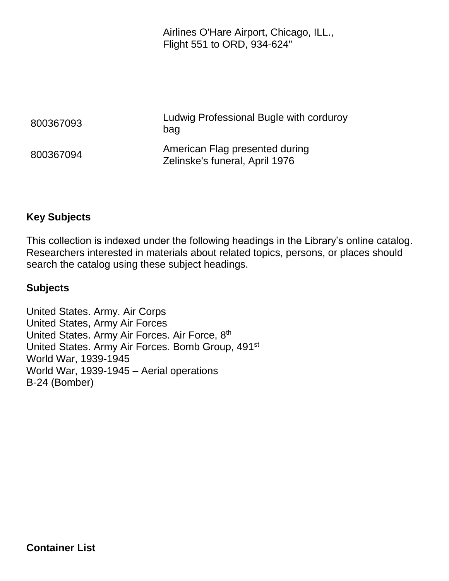Airlines O'Hare Airport, Chicago, ILL., Flight 551 to ORD, 934-624"

| 800367093 | Ludwig Professional Bugle with corduroy<br>bag                   |
|-----------|------------------------------------------------------------------|
| 800367094 | American Flag presented during<br>Zelinske's funeral, April 1976 |

#### **Key Subjects**

This collection is indexed under the following headings in the Library's online catalog. Researchers interested in materials about related topics, persons, or places should search the catalog using these subject headings.

#### **Subjects**

United States. Army. Air Corps United States, Army Air Forces United States. Army Air Forces. Air Force, 8<sup>th</sup> United States. Army Air Forces. Bomb Group, 491st World War, 1939-1945 World War, 1939-1945 – Aerial operations B-24 (Bomber)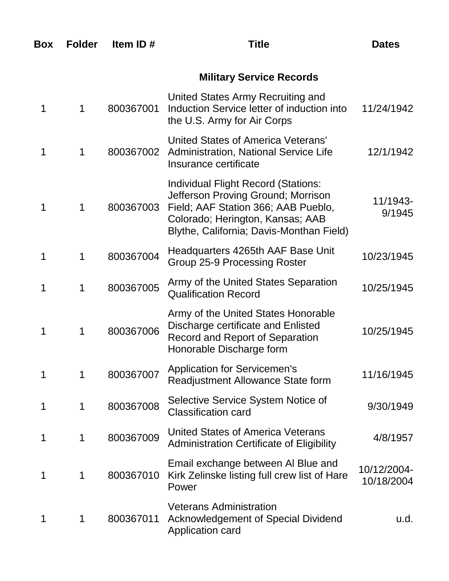| Box | <b>Folder</b> | Item ID#  | Title                                                                                                                                                                                            | <b>Dates</b>              |
|-----|---------------|-----------|--------------------------------------------------------------------------------------------------------------------------------------------------------------------------------------------------|---------------------------|
|     |               |           | <b>Military Service Records</b>                                                                                                                                                                  |                           |
| 1   | 1             | 800367001 | United States Army Recruiting and<br>Induction Service letter of induction into<br>the U.S. Army for Air Corps                                                                                   | 11/24/1942                |
| 1   | 1             | 800367002 | United States of America Veterans'<br><b>Administration, National Service Life</b><br>Insurance certificate                                                                                      | 12/1/1942                 |
| 1   | 1             | 800367003 | Individual Flight Record (Stations:<br>Jefferson Proving Ground; Morrison<br>Field; AAF Station 366; AAB Pueblo,<br>Colorado; Herington, Kansas; AAB<br>Blythe, California; Davis-Monthan Field) | 11/1943-<br>9/1945        |
| 1   | 1             | 800367004 | Headquarters 4265th AAF Base Unit<br>Group 25-9 Processing Roster                                                                                                                                | 10/23/1945                |
| 1   | 1             | 800367005 | Army of the United States Separation<br><b>Qualification Record</b>                                                                                                                              | 10/25/1945                |
| 1   | 1             | 800367006 | Army of the United States Honorable<br>Discharge certificate and Enlisted<br><b>Record and Report of Separation</b><br>Honorable Discharge form                                                  | 10/25/1945                |
| 1   | 1             | 800367007 | <b>Application for Servicemen's</b><br>Readjustment Allowance State form                                                                                                                         | 11/16/1945                |
| 1   | 1             | 800367008 | Selective Service System Notice of<br><b>Classification card</b>                                                                                                                                 | 9/30/1949                 |
| 1   | 1             | 800367009 | United States of America Veterans<br>Administration Certificate of Eligibility                                                                                                                   | 4/8/1957                  |
| 1   | 1             | 800367010 | Email exchange between AI Blue and<br>Kirk Zelinske listing full crew list of Hare<br>Power                                                                                                      | 10/12/2004-<br>10/18/2004 |
| 1   | 1             | 800367011 | <b>Veterans Administration</b><br><b>Acknowledgement of Special Dividend</b><br><b>Application card</b>                                                                                          | u.d.                      |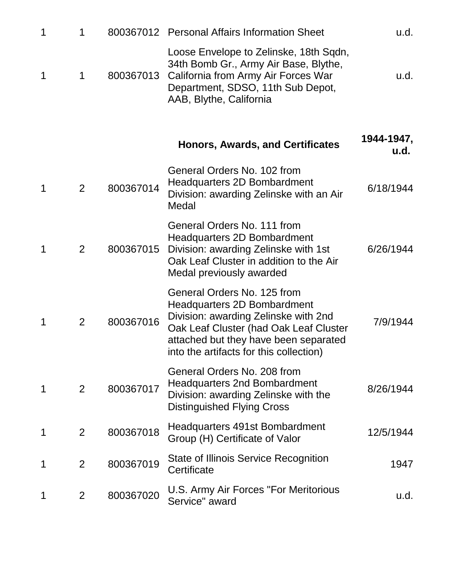| $\mathbf 1$ | 1              |           | 800367012 Personal Affairs Information Sheet                                                                                                                                                                                            | u.d.               |
|-------------|----------------|-----------|-----------------------------------------------------------------------------------------------------------------------------------------------------------------------------------------------------------------------------------------|--------------------|
| 1           | 1              | 800367013 | Loose Envelope to Zelinske, 18th Sqdn,<br>34th Bomb Gr., Army Air Base, Blythe,<br>California from Army Air Forces War<br>Department, SDSO, 11th Sub Depot,<br>AAB, Blythe, California                                                  | u.d.               |
|             |                |           | <b>Honors, Awards, and Certificates</b>                                                                                                                                                                                                 | 1944-1947,<br>u.d. |
| 1           | 2              | 800367014 | General Orders No. 102 from<br><b>Headquarters 2D Bombardment</b><br>Division: awarding Zelinske with an Air<br>Medal                                                                                                                   | 6/18/1944          |
| 1           | 2              | 800367015 | General Orders No. 111 from<br>Headquarters 2D Bombardment<br>Division: awarding Zelinske with 1st<br>Oak Leaf Cluster in addition to the Air<br>Medal previously awarded                                                               | 6/26/1944          |
| 1           | $\overline{2}$ | 800367016 | General Orders No. 125 from<br><b>Headquarters 2D Bombardment</b><br>Division: awarding Zelinske with 2nd<br>Oak Leaf Cluster (had Oak Leaf Cluster<br>attached but they have been separated<br>into the artifacts for this collection) | 7/9/1944           |
| $\mathbf 1$ | $\overline{2}$ | 800367017 | General Orders No. 208 from<br><b>Headquarters 2nd Bombardment</b><br>Division: awarding Zelinske with the<br><b>Distinguished Flying Cross</b>                                                                                         | 8/26/1944          |
| $\mathbf 1$ | $\overline{2}$ | 800367018 | Headquarters 491st Bombardment<br>Group (H) Certificate of Valor                                                                                                                                                                        | 12/5/1944          |
| 1           | $\overline{2}$ | 800367019 | State of Illinois Service Recognition<br>Certificate                                                                                                                                                                                    | 1947               |
| 1           | $\overline{2}$ | 800367020 | U.S. Army Air Forces "For Meritorious<br>Service" award                                                                                                                                                                                 | u.d.               |